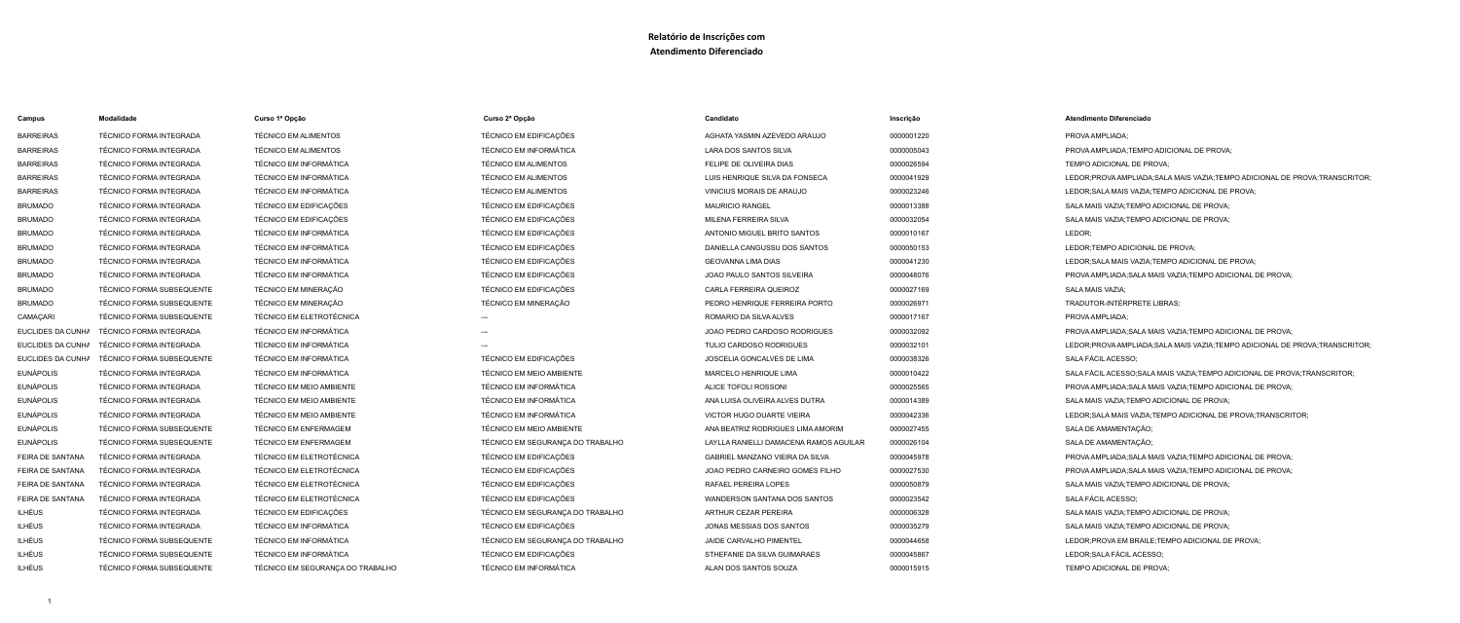# **Relatório de Inscrições com**

# **Atendimento Diferenciado**

| Campus            | <b>Modalidade</b>                | Curso 1ª Opção                   | Curso 2ª Opção                   | Candidato                              | Inscrição  | <b>Atendimento Diferenciado</b>                                               |
|-------------------|----------------------------------|----------------------------------|----------------------------------|----------------------------------------|------------|-------------------------------------------------------------------------------|
| <b>BARREIRAS</b>  | <b>TÉCNICO FORMA INTEGRADA</b>   | <b>TÉCNICO EM ALIMENTOS</b>      | TÉCNICO EM EDIFICAÇÕES           | AGHATA YASMIN AZEVEDO ARAUJO           | 0000001220 | PROVA AMPLIADA;                                                               |
| <b>BARREIRAS</b>  | TÉCNICO FORMA INTEGRADA          | <b>TÉCNICO EM ALIMENTOS</b>      | <b>TÉCNICO EM INFORMÁTICA</b>    | LARA DOS SANTOS SILVA                  | 0000005043 | PROVA AMPLIADA; TEMPO ADICIONAL DE PROVA;                                     |
| <b>BARREIRAS</b>  | <b>TÉCNICO FORMA INTEGRADA</b>   | <b>TÉCNICO EM INFORMÁTICA</b>    | <b>TÉCNICO EM ALIMENTOS</b>      | FELIPE DE OLIVEIRA DIAS                | 0000026594 | TEMPO ADICIONAL DE PROVA;                                                     |
| <b>BARREIRAS</b>  | <b>TÉCNICO FORMA INTEGRADA</b>   | <b>TÉCNICO EM INFORMÁTICA</b>    | <b>TÉCNICO EM ALIMENTOS</b>      | LUIS HENRIQUE SILVA DA FONSECA         | 0000041929 | LEDOR;PROVA AMPLIADA;SALA MAIS VAZIA;TEMPO ADICIONAL DE PROVA;TRANSCRITOR     |
| <b>BARREIRAS</b>  | <b>TÉCNICO FORMA INTEGRADA</b>   | <b>TÉCNICO EM INFORMÁTICA</b>    | <b>TÉCNICO EM ALIMENTOS</b>      | <b>VINICIUS MORAIS DE ARAUJO</b>       | 0000023246 | LEDOR; SALA MAIS VAZIA; TEMPO ADICIONAL DE PROVA;                             |
| <b>BRUMADO</b>    | <b>TÉCNICO FORMA INTEGRADA</b>   | TÉCNICO EM EDIFICAÇÕES           | TÉCNICO EM EDIFICAÇÕES           | <b>MAURICIO RANGEL</b>                 | 0000013388 | SALA MAIS VAZIA; TEMPO ADICIONAL DE PROVA;                                    |
| <b>BRUMADO</b>    | <b>TÉCNICO FORMA INTEGRADA</b>   | TÉCNICO EM EDIFICAÇÕES           | TÉCNICO EM EDIFICAÇÕES           | MILENA FERREIRA SILVA                  | 0000032054 | SALA MAIS VAZIA; TEMPO ADICIONAL DE PROVA;                                    |
| <b>BRUMADO</b>    | <b>TÉCNICO FORMA INTEGRADA</b>   | <b>TÉCNICO EM INFORMÁTICA</b>    | TÉCNICO EM EDIFICAÇÕES           | ANTONIO MIGUEL BRITO SANTOS            | 0000010167 | LEDOR;                                                                        |
| <b>BRUMADO</b>    | <b>TÉCNICO FORMA INTEGRADA</b>   | <b>TÉCNICO EM INFORMÁTICA</b>    | TÉCNICO EM EDIFICAÇÕES           | DANIELLA CANGUSSU DOS SANTOS           | 0000050153 | LEDOR;TEMPO ADICIONAL DE PROVA;                                               |
| <b>BRUMADO</b>    | <b>TÉCNICO FORMA INTEGRADA</b>   | <b>TÉCNICO EM INFORMÁTICA</b>    | TÉCNICO EM EDIFICAÇÕES           | <b>GEOVANNA LIMA DIAS</b>              | 0000041230 | LEDOR; SALA MAIS VAZIA; TEMPO ADICIONAL DE PROVA;                             |
| <b>BRUMADO</b>    | <b>TÉCNICO FORMA INTEGRADA</b>   | <b>TÉCNICO EM INFORMÁTICA</b>    | TÉCNICO EM EDIFICAÇÕES           | <b>JOAO PAULO SANTOS SILVEIRA</b>      | 0000048076 | PROVA AMPLIADA; SALA MAIS VAZIA; TEMPO ADICIONAL DE PROVA;                    |
| BRUMADO           | TÉCNICO FORMA SUBSEQUENTE        | TÉCNICO EM MINERAÇÃO             | TÉCNICO EM EDIFICAÇÕES           | CARLA FERREIRA QUEIROZ                 | 0000027169 | SALA MAIS VAZIA;                                                              |
| BRUMADO           | TÉCNICO FORMA SUBSEQUENTE        | TÉCNICO EM MINERAÇÃO             | TÉCNICO EM MINERAÇÃO             | PEDRO HENRIQUE FERREIRA PORTO          | 0000026971 | <b>TRADUTOR-INTÉRPRETE LIBRAS;</b>                                            |
| CAMAÇARI          | TÉCNICO FORMA SUBSEQUENTE        | <b>TÉCNICO EM ELETROTÉCNICA</b>  | $---$                            | ROMARIO DA SILVA ALVES                 | 0000017167 | PROVA AMPLIADA;                                                               |
| EUCLIDES DA CUNHA | <b>TÉCNICO FORMA INTEGRADA</b>   | <b>TÉCNICO EM INFORMÁTICA</b>    | $---$                            | JOAO PEDRO CARDOSO RODRIGUES           | 0000032092 | PROVA AMPLIADA; SALA MAIS VAZIA; TEMPO ADICIONAL DE PROVA;                    |
| EUCLIDES DA CUNHA | TÉCNICO FORMA INTEGRADA          | <b>TÉCNICO EM INFORMÁTICA</b>    |                                  | TULIO CARDOSO RODRIGUES                | 0000032101 | LEDOR; PROVA AMPLIADA; SALA MAIS VAZIA; TEMPO ADICIONAL DE PROVA; TRANSCRITOR |
| EUCLIDES DA CUNHA | TÉCNICO FORMA SUBSEQUENTE        | <b>TÉCNICO EM INFORMÁTICA</b>    | TÉCNICO EM EDIFICAÇÕES           | JOSCELIA GONCALVES DE LIMA             | 0000038326 | SALA FÁCIL ACESSO;                                                            |
| EUNÁPOLIS         | <b>TÉCNICO FORMA INTEGRADA</b>   | <b>TÉCNICO EM INFORMÁTICA</b>    | <b>TÉCNICO EM MEIO AMBIENTE</b>  | MARCELO HENRIQUE LIMA                  | 0000010422 | SALA FÁCIL ACESSO; SALA MAIS VAZIA; TEMPO ADICIONAL DE PROVA; TRANSCRITOR;    |
| EUNÁPOLIS         | TÉCNICO FORMA INTEGRADA          | <b>TÉCNICO EM MEIO AMBIENTE</b>  | <b>TÉCNICO EM INFORMÁTICA</b>    | ALICE TOFOLI ROSSONI                   | 0000025565 | PROVA AMPLIADA; SALA MAIS VAZIA; TEMPO ADICIONAL DE PROVA;                    |
| EUNÁPOLIS         | <b>TÉCNICO FORMA INTEGRADA</b>   | TÉCNICO EM MEIO AMBIENTE         | <b>TÉCNICO EM INFORMÁTICA</b>    | ANA LUISA OLIVEIRA ALVES DUTRA         | 0000014389 | SALA MAIS VAZIA; TEMPO ADICIONAL DE PROVA;                                    |
| EUNÁPOLIS         | <b>TÉCNICO FORMA INTEGRADA</b>   | <b>TÉCNICO EM MEIO AMBIENTE</b>  | <b>TÉCNICO EM INFORMÁTICA</b>    | <b>VICTOR HUGO DUARTE VIEIRA</b>       | 0000042336 | LEDOR; SALA MAIS VAZIA; TEMPO ADICIONAL DE PROVA; TRANSCRITOR;                |
| EUNÁPOLIS         | TÉCNICO FORMA SUBSEQUENTE        | TÉCNICO EM ENFERMAGEM            | <b>TÉCNICO EM MEIO AMBIENTE</b>  | ANA BEATRIZ RODRIGUES LIMA AMORIM      | 0000027455 | SALA DE AMAMENTAÇÃO;                                                          |
| EUNAPOLIS         | TÉCNICO FORMA SUBSEQUENTE        | TÉCNICO EM ENFERMAGEM            | TÉCNICO EM SEGURANÇA DO TRABALHO | LAYLLA RANIELLI DAMACENA RAMOS AGUILAR | 0000026104 | SALA DE AMAMENTAÇÃO;                                                          |
| FEIRA DE SANTANA  | <b>TÉCNICO FORMA INTEGRADA</b>   | <b>TÉCNICO EM ELETROTÉCNICA</b>  | TÉCNICO EM EDIFICAÇÕES           | GABRIEL MANZANO VIEIRA DA SILVA        | 0000045978 | PROVA AMPLIADA; SALA MAIS VAZIA; TEMPO ADICIONAL DE PROVA;                    |
| FEIRA DE SANTANA  | TÉCNICO FORMA INTEGRADA          | TÉCNICO EM ELETROTÉCNICA         | TÉCNICO EM EDIFICAÇÕES           | JOAO PEDRO CARNEIRO GOMES FILHO        | 0000027530 | PROVA AMPLIADA; SALA MAIS VAZIA; TEMPO ADICIONAL DE PROVA;                    |
| FEIRA DE SANTANA  | TÉCNICO FORMA INTEGRADA          | TÉCNICO EM ELETROTÉCNICA         | TÉCNICO EM EDIFICAÇÕES           | RAFAEL PEREIRA LOPES                   | 0000050879 | SALA MAIS VAZIA; TEMPO ADICIONAL DE PROVA;                                    |
| FEIRA DE SANTANA  | TÉCNICO FORMA INTEGRADA          | TÉCNICO EM ELETROTÉCNICA         | TÉCNICO EM EDIFICAÇÕES           | WANDERSON SANTANA DOS SANTOS           | 0000023542 | SALA FÁCIL ACESSO;                                                            |
| ILHÉUS            | TÉCNICO FORMA INTEGRADA          | TÉCNICO EM EDIFICAÇÕES           | TÉCNICO EM SEGURANÇA DO TRABALHO | ARTHUR CEZAR PEREIRA                   | 0000006328 | SALA MAIS VAZIA; TEMPO ADICIONAL DE PROVA;                                    |
| ILHÉUS            | TÉCNICO FORMA INTEGRADA          | <b>TÉCNICO EM INFORMÁTICA</b>    | TÉCNICO EM EDIFICAÇÕES           | JONAS MESSIAS DOS SANTOS               | 0000035279 | SALA MAIS VAZIA; TEMPO ADICIONAL DE PROVA;                                    |
| ILHÉUS            | <b>TÉCNICO FORMA SUBSEQUENTE</b> | TÉCNICO EM INFORMÁTICA           | TÉCNICO EM SEGURANÇA DO TRABALHO | JAIDE CARVALHO PIMENTEL                | 0000044658 | LEDOR; PROVA EM BRAILE; TEMPO ADICIONAL DE PROVA;                             |
| ILHÉUS            | TÉCNICO FORMA SUBSEQUENTE        | <b>TÉCNICO EM INFORMÁTICA</b>    | TÉCNICO EM EDIFICAÇÕES           | STHEFANIE DA SILVA GUIMARAES           | 0000045867 | LEDOR; SALA FÁCIL ACESSO;                                                     |
| ILHÉUS            | TÉCNICO FORMA SUBSEQUENTE        | TÉCNICO EM SEGURANÇA DO TRABALHO | <b>TÉCNICO EM INFORMÁTICA</b>    | ALAN DOS SANTOS SOUZA                  | 0000015915 | TEMPO ADICIONAL DE PROVA;                                                     |
|                   |                                  |                                  |                                  |                                        |            |                                                                               |

| Campus            | Modalidade                       | Curso 1ª Opção                   | Curso 2ª Opção                |
|-------------------|----------------------------------|----------------------------------|-------------------------------|
| <b>BARREIRAS</b>  | TÉCNICO FORMA INTEGRADA          | <b>TÉCNICO EM ALIMENTOS</b>      | TÉCNICO EM EDIFICAÇÕES        |
| <b>BARREIRAS</b>  | <b>TÉCNICO FORMA INTEGRADA</b>   | <b>TÉCNICO EM ALIMENTOS</b>      | <b>TÉCNICO EM INFORMÁTICA</b> |
| <b>BARREIRAS</b>  | TÉCNICO FORMA INTEGRADA          | <b>TÉCNICO EM INFORMÁTICA</b>    | <b>TÉCNICO EM ALIMENTOS</b>   |
| <b>BARREIRAS</b>  | TÉCNICO FORMA INTEGRADA          | <b>TÉCNICO EM INFORMÁTICA</b>    | <b>TÉCNICO EM ALIMENTOS</b>   |
| <b>BARREIRAS</b>  | <b>TÉCNICO FORMA INTEGRADA</b>   | <b>TÉCNICO EM INFORMÁTICA</b>    | <b>TÉCNICO EM ALIMENTOS</b>   |
| <b>BRUMADO</b>    | TÉCNICO FORMA INTEGRADA          | TÉCNICO EM EDIFICAÇÕES           | TÉCNICO EM EDIFICAÇÕES        |
| <b>BRUMADO</b>    | TÉCNICO FORMA INTEGRADA          | TÉCNICO EM EDIFICAÇÕES           | TÉCNICO EM EDIFICAÇÕES        |
| <b>BRUMADO</b>    | TÉCNICO FORMA INTEGRADA          | <b>TÉCNICO EM INFORMÁTICA</b>    | TÉCNICO EM EDIFICAÇÕES        |
| <b>BRUMADO</b>    | TÉCNICO FORMA INTEGRADA          | <b>TÉCNICO EM INFORMÁTICA</b>    | TÉCNICO EM EDIFICAÇÕES        |
| <b>BRUMADO</b>    | TÉCNICO FORMA INTEGRADA          | TÉCNICO EM INFORMÁTICA           | TÉCNICO EM EDIFICAÇÕES        |
| <b>BRUMADO</b>    | TÉCNICO FORMA INTEGRADA          | <b>TÉCNICO EM INFORMÁTICA</b>    | TÉCNICO EM EDIFICAÇÕES        |
| <b>BRUMADO</b>    | TÉCNICO FORMA SUBSEQUENTE        | TÉCNICO EM MINERAÇÃO             | TÉCNICO EM EDIFICAÇÕES        |
| <b>BRUMADO</b>    | TÉCNICO FORMA SUBSEQUENTE        | TÉCNICO EM MINERAÇÃO             | TÉCNICO EM MINERAÇÃO          |
| CAMAÇARI          | <b>TÉCNICO FORMA SUBSEQUENTE</b> | TÉCNICO EM ELETROTÉCNICA         | ---                           |
| EUCLIDES DA CUNHA | TÉCNICO FORMA INTEGRADA          | <b>TÉCNICO EM INFORMÁTICA</b>    |                               |
| EUCLIDES DA CUNHA | TÉCNICO FORMA INTEGRADA          | <b>TÉCNICO EM INFORMÁTICA</b>    |                               |
| EUCLIDES DA CUNHA | <b>TÉCNICO FORMA SUBSEQUENTE</b> | <b>TÉCNICO EM INFORMÁTICA</b>    | TÉCNICO EM EDIFICAÇÕES        |
| <b>EUNÁPOLIS</b>  | TÉCNICO FORMA INTEGRADA          | <b>TÉCNICO EM INFORMÁTICA</b>    | TÉCNICO EM MEIO AMBIENT       |
| <b>EUNÁPOLIS</b>  | TÉCNICO FORMA INTEGRADA          | TÉCNICO EM MEIO AMBIENTE         | <b>TÉCNICO EM INFORMÁTICA</b> |
| <b>EUNÁPOLIS</b>  | TÉCNICO FORMA INTEGRADA          | TÉCNICO EM MEIO AMBIENTE         | <b>TÉCNICO EM INFORMÁTICA</b> |
| <b>EUNÁPOLIS</b>  | TÉCNICO FORMA INTEGRADA          | TÉCNICO EM MEIO AMBIENTE         | <b>TÉCNICO EM INFORMÁTICA</b> |
| <b>EUNÁPOLIS</b>  | <b>TÉCNICO FORMA SUBSEQUENTE</b> | <b>TÉCNICO EM ENFERMAGEM</b>     | TÉCNICO EM MEIO AMBIENT       |
| <b>EUNÁPOLIS</b>  | TÉCNICO FORMA SUBSEQUENTE        | TÉCNICO EM ENFERMAGEM            | TÉCNICO EM SEGURANÇA D        |
| FEIRA DE SANTANA  | TÉCNICO FORMA INTEGRADA          | <b>TÉCNICO EM ELETROTÉCNICA</b>  | TÉCNICO EM EDIFICAÇÕES        |
| FEIRA DE SANTANA  | TÉCNICO FORMA INTEGRADA          | TÉCNICO EM ELETROTÉCNICA         | TÉCNICO EM EDIFICAÇÕES        |
| FEIRA DE SANTANA  | TÉCNICO FORMA INTEGRADA          | TÉCNICO EM ELETROTÉCNICA         | TÉCNICO EM EDIFICAÇÕES        |
| FEIRA DE SANTANA  | TÉCNICO FORMA INTEGRADA          | TÉCNICO EM ELETROTÉCNICA         | TÉCNICO EM EDIFICAÇÕES        |
| <b>ILHÉUS</b>     | TÉCNICO FORMA INTEGRADA          | TÉCNICO EM EDIFICAÇÕES           | TÉCNICO EM SEGURANÇA D        |
| <b>ILHÉUS</b>     | TÉCNICO FORMA INTEGRADA          | <b>TÉCNICO EM INFORMÁTICA</b>    | TÉCNICO EM EDIFICAÇÕES        |
| <b>ILHÉUS</b>     | TÉCNICO FORMA SUBSEQUENTE        | TÉCNICO EM INFORMÁTICA           | TÉCNICO EM SEGURANÇA D        |
| <b>ILHÉUS</b>     | TÉCNICO FORMA SUBSEQUENTE        | <b>TÉCNICO EM INFORMÁTICA</b>    | TÉCNICO EM EDIFICAÇÕES        |
| <b>ILHÉUS</b>     | TÉCNICO FORMA SUBSEQUENTE        | TÉCNICO EM SEGURANÇA DO TRABALHO | TÉCNICO EM INFORMÁTICA        |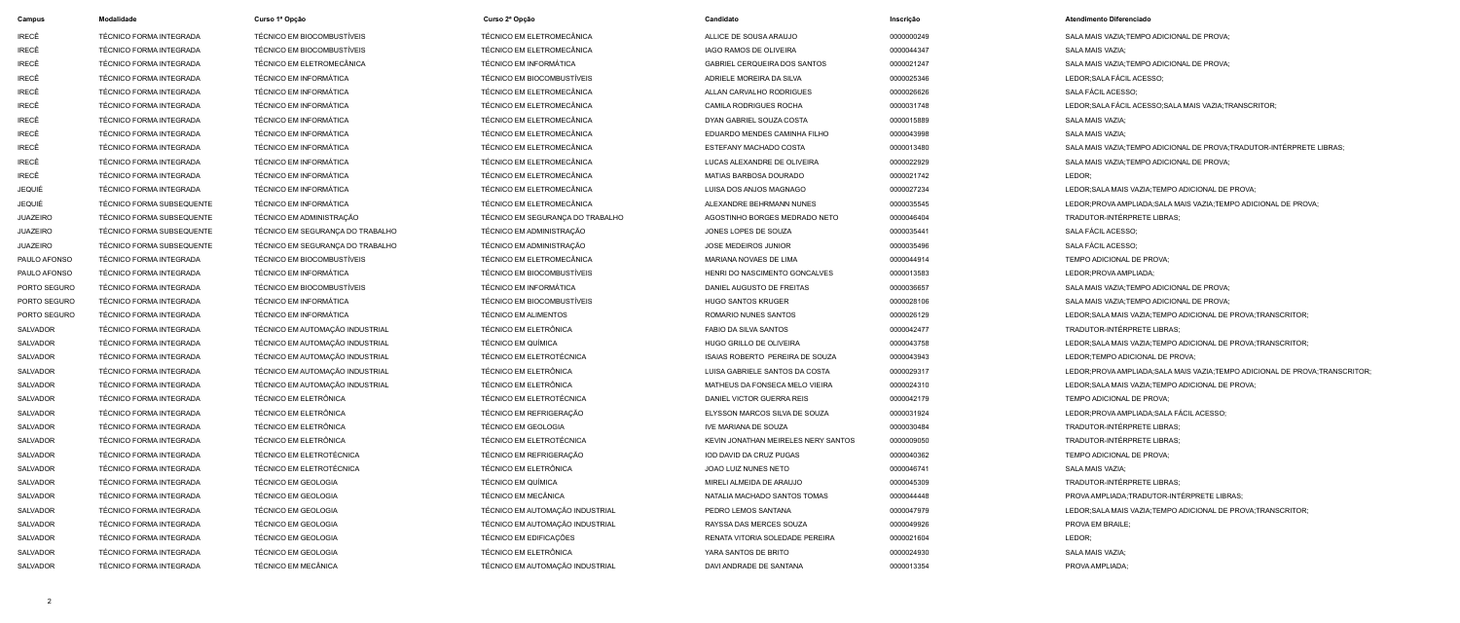| <b>Campus</b>   | <b>Modalidade</b>                | Curso 1ª Opção                   | Curso 2ª Opção                   | Candidato                           | Inscrição  | <b>Atendimento Diferenciado</b>                                                |
|-----------------|----------------------------------|----------------------------------|----------------------------------|-------------------------------------|------------|--------------------------------------------------------------------------------|
| IRECÊ           | TÉCNICO FORMA INTEGRADA          | TÉCNICO EM BIOCOMBUSTÍVEIS       | <b>TÉCNICO EM ELETROMECÂNICA</b> | ALLICE DE SOUSA ARAUJO              | 0000000249 | SALA MAIS VAZIA: TEMPO ADICIONAL DE PROVA:                                     |
| IRECÊ           | TÉCNICO FORMA INTEGRADA          | TÉCNICO EM BIOCOMBUSTÍVEIS       | TÉCNICO EM ELETROMECÂNICA        | IAGO RAMOS DE OLIVEIRA              | 0000044347 | <b>SALA MAIS VAZIA:</b>                                                        |
| IRECÊ           | <b>TÉCNICO FORMA INTEGRADA</b>   | TÉCNICO EM ELETROMECÂNICA        | <b>TÉCNICO EM INFORMÁTICA</b>    | <b>GABRIEL CERQUEIRA DOS SANTOS</b> | 0000021247 | SALA MAIS VAZIA; TEMPO ADICIONAL DE PROVA;                                     |
| IRECÊ           | <b>TÉCNICO FORMA INTEGRADA</b>   | <b>TÉCNICO EM INFORMÁTICA</b>    | TÉCNICO EM BIOCOMBUSTÍVEIS       | ADRIELE MOREIRA DA SILVA            | 0000025346 | LEDOR; SALA FÁCIL ACESSO;                                                      |
| IRECÊ           | TÉCNICO FORMA INTEGRADA          | <b>TÉCNICO EM INFORMÁTICA</b>    | TÉCNICO EM ELETROMECÂNICA        | ALLAN CARVALHO RODRIGUES            | 0000026626 | SALA FÁCIL ACESSO;                                                             |
| IRECÊ           | <b>TÉCNICO FORMA INTEGRADA</b>   | <b>TÉCNICO EM INFORMÁTICA</b>    | TÉCNICO EM ELETROMECÂNICA        | <b>CAMILA RODRIGUES ROCHA</b>       | 0000031748 | LEDOR: SALA FÁCIL ACESSO: SALA MAIS VAZIA: TRANSCRITOR:                        |
| IRECÊ           | <b>TÉCNICO FORMA INTEGRADA</b>   | <b>TÉCNICO EM INFORMÁTICA</b>    | TÉCNICO EM ELETROMECÂNICA        | DYAN GABRIEL SOUZA COSTA            | 0000015889 | SALA MAIS VAZIA;                                                               |
| IRECÊ           | TÉCNICO FORMA INTEGRADA          | <b>TÉCNICO EM INFORMÁTICA</b>    | TÉCNICO EM ELETROMECÂNICA        | EDUARDO MENDES CAMINHA FILHO        | 0000043998 | SALA MAIS VAZIA;                                                               |
| IRECÊ           | TÉCNICO FORMA INTEGRADA          | <b>TÉCNICO EM INFORMÁTICA</b>    | TÉCNICO EM ELETROMECÂNICA        | ESTEFANY MACHADO COSTA              | 0000013480 | SALA MAIS VAZIA; TEMPO ADICIONAL DE PROVA; TRADUTOR-INTÉRPRETE LIBRAS;         |
| IRECÊ           | <b>TÉCNICO FORMA INTEGRADA</b>   | <b>TÉCNICO EM INFORMÁTICA</b>    | TÉCNICO EM ELETROMECÂNICA        | LUCAS ALEXANDRE DE OLIVEIRA         | 0000022929 | SALA MAIS VAZIA; TEMPO ADICIONAL DE PROVA;                                     |
| IRECÊ           | TÉCNICO FORMA INTEGRADA          | TÉCNICO EM INFORMÁTICA           | TÉCNICO EM ELETROMECÂNICA        | MATIAS BARBOSA DOURADO              | 0000021742 | LEDOR;                                                                         |
| <b>JEQUIÉ</b>   | TÉCNICO FORMA INTEGRADA          | <b>TÉCNICO EM INFORMÁTICA</b>    | TÉCNICO EM ELETROMECÂNICA        | LUISA DOS ANJOS MAGNAGO             | 0000027234 | LEDOR; SALA MAIS VAZIA; TEMPO ADICIONAL DE PROVA;                              |
| JEQUIÉ          | <b>TÉCNICO FORMA SUBSEQUENTE</b> | <b>TÉCNICO EM INFORMÁTICA</b>    | TÉCNICO EM ELETROMECÂNICA        | ALEXANDRE BEHRMANN NUNES            | 0000035545 | LEDOR; PROVA AMPLIADA; SALA MAIS VAZIA; TEMPO ADICIONAL DE PROVA;              |
| JUAZEIRO        | <b>TÉCNICO FORMA SUBSEQUENTE</b> | TÉCNICO EM ADMINISTRAÇÃO         | TÉCNICO EM SEGURANÇA DO TRABALHO | AGOSTINHO BORGES MEDRADO NETO       | 0000046404 | TRADUTOR-INTÉRPRETE LIBRAS;                                                    |
| <b>JUAZEIRO</b> | <b>TÉCNICO FORMA SUBSEQUENTE</b> | TÉCNICO EM SEGURANÇA DO TRABALHO | TÉCNICO EM ADMINISTRAÇÃO         | JONES LOPES DE SOUZA                | 0000035441 | SALA FÁCIL ACESSO;                                                             |
| JUAZEIRO        | <b>TÉCNICO FORMA SUBSEQUENTE</b> | TÉCNICO EM SEGURANÇA DO TRABALHO | TÉCNICO EM ADMINISTRAÇÃO         | JOSE MEDEIROS JUNIOR                | 0000035496 | SALA FÁCIL ACESSO;                                                             |
| PAULO AFONSO    | TÉCNICO FORMA INTEGRADA          | TÉCNICO EM BIOCOMBUSTÍVEIS       | TÉCNICO EM ELETROMECÂNICA        | MARIANA NOVAES DE LIMA              | 0000044914 | TEMPO ADICIONAL DE PROVA;                                                      |
| PAULO AFONSO    | <b>TÉCNICO FORMA INTEGRADA</b>   | <b>TÉCNICO EM INFORMÁTICA</b>    | TÉCNICO EM BIOCOMBUSTÍVEIS       | HENRI DO NASCIMENTO GONCALVES       | 0000013583 | LEDOR; PROVA AMPLIADA;                                                         |
| PORTO SEGURO    | <b>TÉCNICO FORMA INTEGRADA</b>   | TÉCNICO EM BIOCOMBUSTÍVEIS       | <b>TÉCNICO EM INFORMÁTICA</b>    | DANIEL AUGUSTO DE FREITAS           | 0000036657 | SALA MAIS VAZIA; TEMPO ADICIONAL DE PROVA;                                     |
| PORTO SEGURO    | <b>TÉCNICO FORMA INTEGRADA</b>   | <b>TÉCNICO EM INFORMÁTICA</b>    | TÉCNICO EM BIOCOMBUSTÍVEIS       | <b>HUGO SANTOS KRUGER</b>           | 0000028106 | SALA MAIS VAZIA; TEMPO ADICIONAL DE PROVA;                                     |
| PORTO SEGURO    | TÉCNICO FORMA INTEGRADA          | <b>TÉCNICO EM INFORMÁTICA</b>    | <b>TÉCNICO EM ALIMENTOS</b>      | ROMARIO NUNES SANTOS                | 0000026129 | LEDOR; SALA MAIS VAZIA; TEMPO ADICIONAL DE PROVA; TRANSCRITOR;                 |
| <b>SALVADOR</b> | <b>TÉCNICO FORMA INTEGRADA</b>   | TÉCNICO EM AUTOMAÇÃO INDUSTRIAL  | TÉCNICO EM ELETRÔNICA            | <b>FABIO DA SILVA SANTOS</b>        | 0000042477 | TRADUTOR-INTÉRPRETE LIBRAS;                                                    |
| <b>SALVADOR</b> | <b>TÉCNICO FORMA INTEGRADA</b>   | TÉCNICO EM AUTOMAÇÃO INDUSTRIAL  | TÉCNICO EM QUÍMICA               | HUGO GRILLO DE OLIVEIRA             | 0000043758 | LEDOR; SALA MAIS VAZIA; TEMPO ADICIONAL DE PROVA; TRANSCRITOR;                 |
| <b>SALVADOR</b> | <b>TÉCNICO FORMA INTEGRADA</b>   | TÉCNICO EM AUTOMAÇÃO INDUSTRIAL  | <b>TÉCNICO EM ELETROTÉCNICA</b>  | ISAIAS ROBERTO PEREIRA DE SOUZA     | 0000043943 | LEDOR; TEMPO ADICIONAL DE PROVA;                                               |
| <b>SALVADOR</b> | TÉCNICO FORMA INTEGRADA          | TÉCNICO EM AUTOMAÇÃO INDUSTRIAL  | TÉCNICO EM ELETRÔNICA            | LUISA GABRIELE SANTOS DA COSTA      | 0000029317 | LEDOR; PROVA AMPLIADA; SALA MAIS VAZIA; TEMPO ADICIONAL DE PROVA; TRANSCRITOR: |
| SALVADOR        | TÉCNICO FORMA INTEGRADA          | TÉCNICO EM AUTOMAÇÃO INDUSTRIAL  | TÉCNICO EM ELETRÔNICA            | MATHEUS DA FONSECA MELO VIEIRA      | 0000024310 | LEDOR; SALA MAIS VAZIA; TEMPO ADICIONAL DE PROVA;                              |
| SALVADOR        | TÉCNICO FORMA INTEGRADA          | TÉCNICO EM ELETRÔNICA            | <b>TÉCNICO EM ELETROTÉCNICA</b>  | DANIEL VICTOR GUERRA REIS           | 0000042179 | TEMPO ADICIONAL DE PROVA;                                                      |
| SALVADOR        | TÉCNICO FORMA INTEGRADA          | TÉCNICO EM ELETRÔNICA            | TÉCNICO EM REFRIGERAÇÃO          | ELYSSON MARCOS SILVA DE SOUZA       | 0000031924 | LEDOR; PROVA AMPLIADA; SALA FÁCIL ACESSO;                                      |
| SALVADOR        | TÉCNICO FORMA INTEGRADA          | TÉCNICO EM ELETRÔNICA            | <b>TÉCNICO EM GEOLOGIA</b>       | IVE MARIANA DE SOUZA                | 0000030484 | TRADUTOR-INTÉRPRETE LIBRAS;                                                    |
| SALVADOR        | TÉCNICO FORMA INTEGRADA          | TÉCNICO EM ELETRÔNICA            | TÉCNICO EM ELETROTÉCNICA         | KEVIN JONATHAN MEIRELES NERY SANTOS | 0000009050 | TRADUTOR-INTÉRPRETE LIBRAS;                                                    |
| SALVADOR        | TÉCNICO FORMA INTEGRADA          | TÉCNICO EM ELETROTÉCNICA         | TÉCNICO EM REFRIGERAÇÃO          | IOD DAVID DA CRUZ PUGAS             | 0000040362 | TEMPO ADICIONAL DE PROVA;                                                      |
| SALVADOR        | TÉCNICO FORMA INTEGRADA          | TÉCNICO EM ELETROTÉCNICA         | TÉCNICO EM ELETRÔNICA            | JOAO LUIZ NUNES NETO                | 0000046741 | SALA MAIS VAZIA;                                                               |
| SALVADOR        | TÉCNICO FORMA INTEGRADA          | TÉCNICO EM GEOLOGIA              | TÉCNICO EM QUÍMICA               | MIRELI ALMEIDA DE ARAUJO            | 0000045309 | TRADUTOR-INTÉRPRETE LIBRAS;                                                    |
| SALVADOR        | TÉCNICO FORMA INTEGRADA          | TÉCNICO EM GEOLOGIA              | TÉCNICO EM MECÂNICA              | NATALIA MACHADO SANTOS TOMAS        | 0000044448 | PROVA AMPLIADA; TRADUTOR-INTÉRPRETE LIBRAS;                                    |
| SALVADOR        | TÉCNICO FORMA INTEGRADA          | TÉCNICO EM GEOLOGIA              | TÉCNICO EM AUTOMAÇÃO INDUSTRIAL  | PEDRO LEMOS SANTANA                 | 0000047979 | LEDOR; SALA MAIS VAZIA; TEMPO ADICIONAL DE PROVA; TRANSCRITOR;                 |
| SALVADOR        | TÉCNICO FORMA INTEGRADA          | TÉCNICO EM GEOLOGIA              | TÉCNICO EM AUTOMAÇÃO INDUSTRIAL  | RAYSSA DAS MERCES SOUZA             | 0000049926 | PROVA EM BRAILE;                                                               |
| SALVADOR        | TÉCNICO FORMA INTEGRADA          | <b>TÉCNICO EM GEOLOGIA</b>       | TÉCNICO EM EDIFICAÇÕES           | RENATA VITORIA SOLEDADE PEREIRA     | 0000021604 | LEDOR;                                                                         |
| SALVADOR        | TÉCNICO FORMA INTEGRADA          | <b>TÉCNICO EM GEOLOGIA</b>       | TÉCNICO EM ELETRÔNICA            | YARA SANTOS DE BRITO                | 0000024930 | SALA MAIS VAZIA;                                                               |
| SALVADOR        | TÉCNICO FORMA INTEGRADA          | TÉCNICO EM MECÂNICA              | TÉCNICO EM AUTOMAÇÃO INDUSTRIAL  | DAVI ANDRADE DE SANTANA             | 0000013354 | PROVA AMPLIADA;                                                                |

| Campus          | <b>Modalidade</b>                | Curso 1ª Opção                   | Curso 2ª Opção                  |
|-----------------|----------------------------------|----------------------------------|---------------------------------|
| <b>IRECÊ</b>    | TÉCNICO FORMA INTEGRADA          | TÉCNICO EM BIOCOMBUSTÍVEIS       | TÉCNICO EM ELETROMECÂNICA       |
| <b>IRECÊ</b>    | TÉCNICO FORMA INTEGRADA          | TÉCNICO EM BIOCOMBUSTÍVEIS       | TÉCNICO EM ELETROMECÂNICA       |
| <b>IRECÊ</b>    | TÉCNICO FORMA INTEGRADA          | TÉCNICO EM ELETROMECÂNICA        | <b>TÉCNICO EM INFORMÁTICA</b>   |
| <b>IRECÊ</b>    | TÉCNICO FORMA INTEGRADA          | <b>TÉCNICO EM INFORMÁTICA</b>    | TÉCNICO EM BIOCOMBUSTÍVEIS      |
| <b>IRECÊ</b>    | TÉCNICO FORMA INTEGRADA          | <b>TÉCNICO EM INFORMÁTICA</b>    | TÉCNICO EM ELETROMECÂNICA       |
| <b>IRECÊ</b>    | TÉCNICO FORMA INTEGRADA          | <b>TÉCNICO EM INFORMÁTICA</b>    | TÉCNICO EM ELETROMECÂNICA       |
| <b>IRECÊ</b>    | TÉCNICO FORMA INTEGRADA          | <b>TÉCNICO EM INFORMÁTICA</b>    | TÉCNICO EM ELETROMECÂNICA       |
| <b>IRECÊ</b>    | TÉCNICO FORMA INTEGRADA          | <b>TÉCNICO EM INFORMÁTICA</b>    | TÉCNICO EM ELETROMECÂNICA       |
| <b>IRECÊ</b>    | TÉCNICO FORMA INTEGRADA          | <b>TÉCNICO EM INFORMÁTICA</b>    | TÉCNICO EM ELETROMECÂNICA       |
| <b>IRECÊ</b>    | TÉCNICO FORMA INTEGRADA          | <b>TÉCNICO EM INFORMÁTICA</b>    | TÉCNICO EM ELETROMECÂNICA       |
| <b>IRECÊ</b>    | TÉCNICO FORMA INTEGRADA          | <b>TÉCNICO EM INFORMÁTICA</b>    | TÉCNICO EM ELETROMECÂNICA       |
| <b>JEQUIÉ</b>   | TÉCNICO FORMA INTEGRADA          | <b>TÉCNICO EM INFORMÁTICA</b>    | TÉCNICO EM ELETROMECÂNICA       |
| <b>JEQUIÉ</b>   | <b>TÉCNICO FORMA SUBSEQUENTE</b> | <b>TÉCNICO EM INFORMÁTICA</b>    | TÉCNICO EM ELETROMECÂNICA       |
| <b>JUAZEIRO</b> | <b>TÉCNICO FORMA SUBSEQUENTE</b> | TÉCNICO EM ADMINISTRAÇÃO         | TÉCNICO EM SEGURANÇA DO TRABALH |
| <b>JUAZEIRO</b> | <b>TÉCNICO FORMA SUBSEQUENTE</b> | TÉCNICO EM SEGURANÇA DO TRABALHO | TÉCNICO EM ADMINISTRAÇÃO        |
| <b>JUAZEIRO</b> | TÉCNICO FORMA SUBSEQUENTE        | TÉCNICO EM SEGURANÇA DO TRABALHO | TÉCNICO EM ADMINISTRAÇÃO        |
| PAULO AFONSO    | TÉCNICO FORMA INTEGRADA          | TÉCNICO EM BIOCOMBUSTÍVEIS       | TÉCNICO EM ELETROMECÂNICA       |
| PAULO AFONSO    | TÉCNICO FORMA INTEGRADA          | <b>TÉCNICO EM INFORMÁTICA</b>    | TÉCNICO EM BIOCOMBUSTÍVEIS      |
| PORTO SEGURO    | TÉCNICO FORMA INTEGRADA          | TÉCNICO EM BIOCOMBUSTÍVEIS       | <b>TÉCNICO EM INFORMÁTICA</b>   |
| PORTO SEGURO    | TÉCNICO FORMA INTEGRADA          | <b>TÉCNICO EM INFORMÁTICA</b>    | TÉCNICO EM BIOCOMBUSTÍVEIS      |
| PORTO SEGURO    | TÉCNICO FORMA INTEGRADA          | <b>TÉCNICO EM INFORMÁTICA</b>    | <b>TÉCNICO EM ALIMENTOS</b>     |
| <b>SALVADOR</b> | TÉCNICO FORMA INTEGRADA          | TÉCNICO EM AUTOMAÇÃO INDUSTRIAL  | TÉCNICO EM ELETRÔNICA           |
| SALVADOR        | TÉCNICO FORMA INTEGRADA          | TÉCNICO EM AUTOMAÇÃO INDUSTRIAL  | <b>TÉCNICO EM QUÍMICA</b>       |
| <b>SALVADOR</b> | TÉCNICO FORMA INTEGRADA          | TÉCNICO EM AUTOMAÇÃO INDUSTRIAL  | TÉCNICO EM ELETROTÉCNICA        |
| <b>SALVADOR</b> | TÉCNICO FORMA INTEGRADA          | TÉCNICO EM AUTOMAÇÃO INDUSTRIAL  | TÉCNICO EM ELETRÔNICA           |
| SALVADOR        | TÉCNICO FORMA INTEGRADA          | TÉCNICO EM AUTOMAÇÃO INDUSTRIAL  | TÉCNICO EM ELETRÔNICA           |
| <b>SALVADOR</b> | TÉCNICO FORMA INTEGRADA          | TÉCNICO EM ELETRÔNICA            | TÉCNICO EM ELETROTÉCNICA        |
| <b>SALVADOR</b> | TÉCNICO FORMA INTEGRADA          | TÉCNICO EM ELETRÔNICA            | TÉCNICO EM REFRIGERAÇÃO         |
| <b>SALVADOR</b> | TÉCNICO FORMA INTEGRADA          | TÉCNICO EM ELETRÔNICA            | <b>TÉCNICO EM GEOLOGIA</b>      |
| <b>SALVADOR</b> | TÉCNICO FORMA INTEGRADA          | TÉCNICO EM ELETRÔNICA            | TÉCNICO EM ELETROTÉCNICA        |
| SALVADOR        | TÉCNICO FORMA INTEGRADA          | TÉCNICO EM ELETROTÉCNICA         | TÉCNICO EM REFRIGERAÇÃO         |
| <b>SALVADOR</b> | TÉCNICO FORMA INTEGRADA          | TÉCNICO EM ELETROTÉCNICA         | TÉCNICO EM ELETRÔNICA           |
| SALVADOR        | TÉCNICO FORMA INTEGRADA          | <b>TÉCNICO EM GEOLOGIA</b>       | <b>TÉCNICO EM QUÍMICA</b>       |
| SALVADOR        | TÉCNICO FORMA INTEGRADA          | <b>TÉCNICO EM GEOLOGIA</b>       | TÉCNICO EM MECÂNICA             |
| <b>SALVADOR</b> | TÉCNICO FORMA INTEGRADA          | <b>TÉCNICO EM GEOLOGIA</b>       | TÉCNICO EM AUTOMAÇÃO INDUSTRIAL |
| <b>SALVADOR</b> | TÉCNICO FORMA INTEGRADA          | <b>TÉCNICO EM GEOLOGIA</b>       | TÉCNICO EM AUTOMAÇÃO INDUSTRIAL |
| <b>SALVADOR</b> | TÉCNICO FORMA INTEGRADA          | <b>TÉCNICO EM GEOLOGIA</b>       | TÉCNICO EM EDIFICAÇÕES          |
| <b>SALVADOR</b> | TÉCNICO FORMA INTEGRADA          | <b>TÉCNICO EM GEOLOGIA</b>       | TÉCNICO EM ELETRÔNICA           |
| SALVADOR        | TÉCNICO FORMA INTEGRADA          | TÉCNICO EM MECÂNICA              | TÉCNICO EM AUTOMAÇÃO INDUSTRIAL |